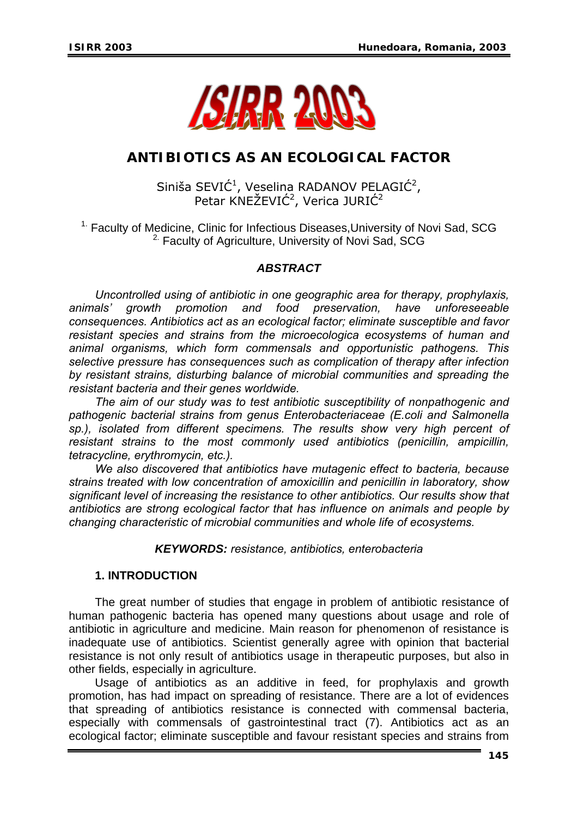

# **ANTIBIOTICS AS AN ECOLOGICAL FACTOR**

# Siniša SEVIĆ<sup>1</sup>, Veselina RADANOV PELAGIĆ<sup>2</sup>, Petar KNEŽEVIĆ<sup>2</sup>, Verica JURIĆ<sup>2</sup>

<sup>1.</sup> Faculty of Medicine, Clinic for Infectious Diseases, University of Novi Sad, SCG <sup>2.</sup> Faculty of Agriculture, University of Novi Sad, SCG

## *ABSTRACT*

*Uncontrolled using of antibiotic in one geographic area for therapy, prophylaxis, animals' growth promotion and food preservation, have unforeseeable consequences. Antibiotics act as an ecological factor; eliminate susceptible and favor resistant species and strains from the microecologica ecosystems of human and animal organisms, which form commensals and opportunistic pathogens. This selective pressure has consequences such as complication of therapy after infection by resistant strains, disturbing balance of microbial communities and spreading the resistant bacteria and their genes worldwide.* 

*The aim of our study was to test antibiotic susceptibility of nonpathogenic and pathogenic bacterial strains from genus Enterobacteriaceae (E.coli and Salmonella sp.), isolated from different specimens. The results show very high percent of resistant strains to the most commonly used antibiotics (penicillin, ampicillin, tetracycline, erythromycin, etc.).* 

*We also discovered that antibiotics have mutagenic effect to bacteria, because strains treated with low concentration of amoxicillin and penicillin in laboratory, show significant level of increasing the resistance to other antibiotics. Our results show that antibiotics are strong ecological factor that has influence on animals and people by changing characteristic of microbial communities and whole life of ecosystems.* 

### *KEYWORDS: resistance, antibiotics, enterobacteria*

# **1. INTRODUCTION**

The great number of studies that engage in problem of antibiotic resistance of human pathogenic bacteria has opened many questions about usage and role of antibiotic in agriculture and medicine. Main reason for phenomenon of resistance is inadequate use of antibiotics. Scientist generally agree with opinion that bacterial resistance is not only result of antibiotics usage in therapeutic purposes, but also in other fields, especially in agriculture.

Usage of antibiotics as an additive in feed, for prophylaxis and growth promotion, has had impact on spreading of resistance. There are a lot of evidences that spreading of antibiotics resistance is connected with commensal bacteria, especially with commensals of gastrointestinal tract (7). Antibiotics act as an ecological factor; eliminate susceptible and favour resistant species and strains from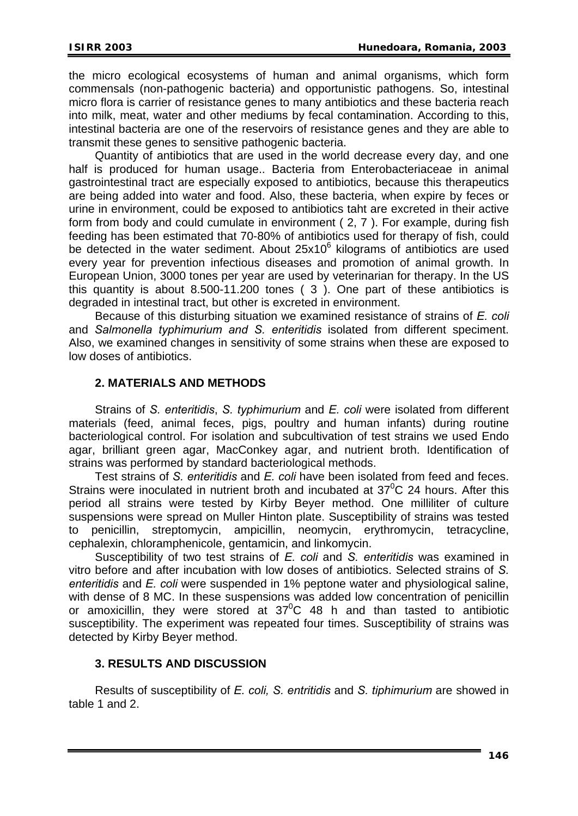the micro ecological ecosystems of human and animal organisms, which form commensals (non-pathogenic bacteria) and opportunistic pathogens. So, intestinal micro flora is carrier of resistance genes to many antibiotics and these bacteria reach into milk, meat, water and other mediums by fecal contamination. According to this, intestinal bacteria are one of the reservoirs of resistance genes and they are able to transmit these genes to sensitive pathogenic bacteria.

Quantity of antibiotics that are used in the world decrease every day, and one half is produced for human usage.. Bacteria from Enterobacteriaceae in animal gastrointestinal tract are especially exposed to antibiotics, because this therapeutics are being added into water and food. Also, these bacteria, when expire by feces or urine in environment, could be exposed to antibiotics taht are excreted in their active form from body and could cumulate in environment ( 2, 7 ). For example, during fish feeding has been estimated that 70-80% of antibiotics used for therapy of fish, could be detected in the water sediment. About  $25x10^6$  kilograms of antibiotics are used every year for prevention infectious diseases and promotion of animal growth. In European Union, 3000 tones per year are used by veterinarian for therapy. In the US this quantity is about 8.500-11.200 tones ( 3 ). One part of these antibiotics is degraded in intestinal tract, but other is excreted in environment.

Because of this disturbing situation we examined resistance of strains of *E. coli* and *Salmonella typhimurium and S. enteritidis* isolated from different speciment. Also, we examined changes in sensitivity of some strains when these are exposed to low doses of antibiotics.

### **2. MATERIALS AND METHODS**

Strains of *S. enteritidis*, *S. typhimurium* and *E. coli* were isolated from different materials (feed, animal feces, pigs, poultry and human infants) during routine bacteriological control. For isolation and subcultivation of test strains we used Endo agar, brilliant green agar, MacConkey agar, and nutrient broth. Identification of strains was performed by standard bacteriological methods.

Test strains of *S. enteritidis* and *E. coli* have been isolated from feed and feces. Strains were inoculated in nutrient broth and incubated at  $37^0C$  24 hours. After this period all strains were tested by Kirby Beyer method. One milliliter of culture suspensions were spread on Muller Hinton plate. Susceptibility of strains was tested penicillin, streptomycin, ampicillin, neomycin, erythromycin, tetracycline, cephalexin, chloramphenicole, gentamicin, and linkomycin.

Susceptibility of two test strains of *E. coli* and *S. enteritidis* was examined in vitro before and after incubation with low doses of antibiotics. Selected strains of *S. enteritidis* and *E. coli* were suspended in 1% peptone water and physiological saline, with dense of 8 MC. In these suspensions was added low concentration of penicillin or amoxicillin, they were stored at  $37^{\circ}$ C 48 h and than tasted to antibiotic susceptibility. The experiment was repeated four times. Susceptibility of strains was detected by Kirby Beyer method.

#### **3. RESULTS AND DISCUSSION**

Results of susceptibility of *E. coli, S. entritidis* and *S. tiphimurium* are showed in table 1 and 2.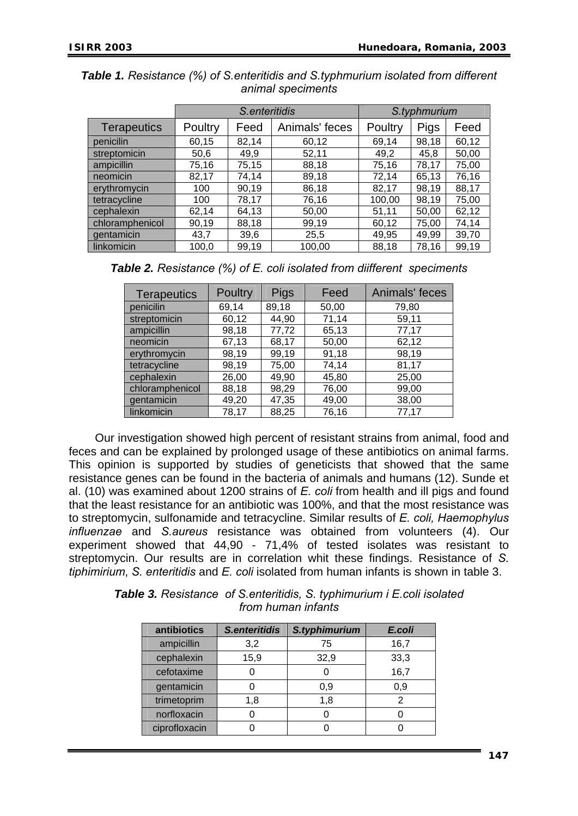|                    | S.enteritidis |       |                | S.typhmurium |             |       |
|--------------------|---------------|-------|----------------|--------------|-------------|-------|
| <b>Terapeutics</b> | Poultry       | Feed  | Animals' feces | Poultry      | <b>Pigs</b> | Feed  |
| penicilin          | 60,15         | 82,14 | 60,12          | 69,14        | 98,18       | 60,12 |
| streptomicin       | 50,6          | 49,9  | 52,11          | 49,2         | 45,8        | 50,00 |
| ampicillin         | 75,16         | 75,15 | 88,18          | 75,16        | 78,17       | 75,00 |
| neomicin           | 82,17         | 74,14 | 89,18          | 72,14        | 65,13       | 76,16 |
| erythromycin       | 100           | 90,19 | 86,18          | 82,17        | 98,19       | 88,17 |
| tetracycline       | 100           | 78,17 | 76,16          | 100,00       | 98,19       | 75,00 |
| cephalexin         | 62,14         | 64,13 | 50,00          | 51,11        | 50,00       | 62,12 |
| chloramphenicol    | 90,19         | 88,18 | 99,19          | 60,12        | 75,00       | 74,14 |
| gentamicin         | 43,7          | 39,6  | 25,5           | 49,95        | 49,99       | 39,70 |
| linkomicin         | 100,0         | 99,19 | 100,00         | 88,18        | 78,16       | 99,19 |

*Table 1. Resistance (%) of S.enteritidis and S.typhmurium isolated from different animal speciments* 

| <b>Table 2.</b> Resistance (%) of E. coli isolated from diifferent speciments |  |  |
|-------------------------------------------------------------------------------|--|--|
|-------------------------------------------------------------------------------|--|--|

| <b>Terapeutics</b> | <b>Poultry</b> | <b>Pigs</b> | Feed  | Animals' feces |
|--------------------|----------------|-------------|-------|----------------|
| penicilin          | 69,14          | 89,18       | 50,00 | 79,80          |
| streptomicin       | 60,12          | 44,90       | 71,14 | 59,11          |
| ampicillin         | 98,18          | 77,72       | 65,13 | 77,17          |
| neomicin           | 67,13          | 68,17       | 50,00 | 62,12          |
| erythromycin       | 98,19          | 99,19       | 91,18 | 98,19          |
| tetracycline       | 98,19          | 75,00       | 74,14 | 81,17          |
| cephalexin         | 26,00          | 49,90       | 45,80 | 25,00          |
| chloramphenicol    | 88,18          | 98,29       | 76,00 | 99,00          |
| gentamicin         | 49,20          | 47,35       | 49,00 | 38,00          |
| linkomicin         | 78,17          | 88,25       | 76,16 | 77,17          |

Our investigation showed high percent of resistant strains from animal, food and feces and can be explained by prolonged usage of these antibiotics on animal farms. This opinion is supported by studies of geneticists that showed that the same resistance genes can be found in the bacteria of animals and humans (12). Sunde et al. (10) was examined about 1200 strains of *E. coli* from health and ill pigs and found that the least resistance for an antibiotic was 100%, and that the most resistance was to streptomycin, sulfonamide and tetracycline. Similar results of *E. coli, Haemophylus influenzae* and *S.aureus* resistance was obtained from volunteers (4). Our experiment showed that 44,90 - 71,4% of tested isolates was resistant to streptomycin. Our results are in correlation whit these findings. Resistance of *S. tiphimirium*, *S. enteritidis* and *E. coli* isolated from human infants is shown in table 3.

| <b>Table 3.</b> Resistance of S. enteritidis, S. typhimurium i E. coli isolated |
|---------------------------------------------------------------------------------|
| from human infants                                                              |

| antibiotics   | <b>S.enteritidis</b> | S.typhimurium | E.coli |
|---------------|----------------------|---------------|--------|
| ampicillin    | 3,2                  | 75            | 16,7   |
| cephalexin    | 15,9                 | 32,9          | 33,3   |
| cefotaxime    |                      |               | 16,7   |
| gentamicin    |                      | 0,9           | 0,9    |
| trimetoprim   | 1,8                  | 1,8           | 2      |
| norfloxacin   |                      |               |        |
| ciprofloxacin |                      |               |        |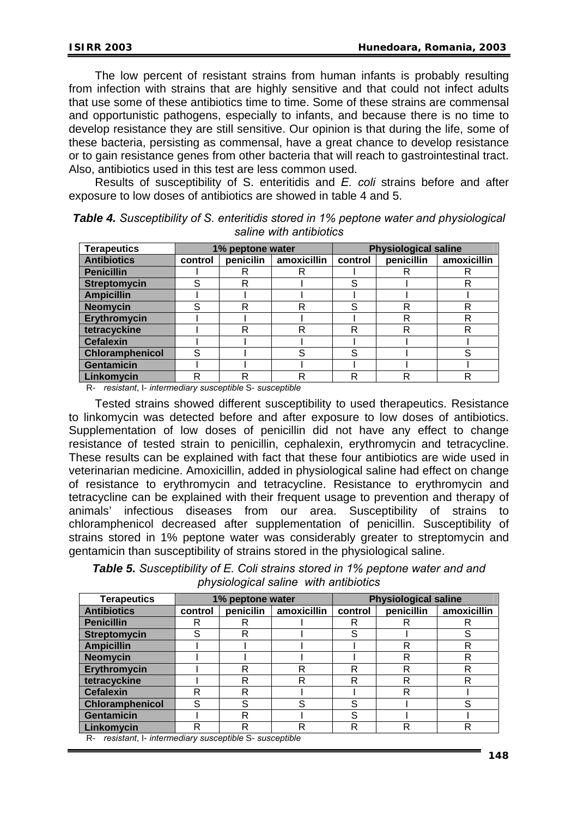The low percent of resistant strains from human infants is probably resulting from infection with strains that are highly sensitive and that could not infect adults that use some of these antibiotics time to time. Some of these strains are commensal and opportunistic pathogens, especially to infants, and because there is no time to develop resistance they are still sensitive. Our opinion is that during the life, some of these bacteria, persisting as commensal, have a great chance to develop resistance or to gain resistance genes from other bacteria that will reach to gastrointestinal tract. Also, antibiotics used in this test are less common used.

Results of susceptibility of S. enteritidis and *E. coli* strains before and after exposure to low doses of antibiotics are showed in table 4 and 5.

| <b>Terapeutics</b>     | 1% peptone water |           |             | <b>Physiological saline</b> |            |             |
|------------------------|------------------|-----------|-------------|-----------------------------|------------|-------------|
| <b>Antibiotics</b>     | control          | penicilin | amoxicillin | control                     | penicillin | amoxicillin |
| <b>Penicillin</b>      |                  |           | R           |                             | R          |             |
| <b>Streptomycin</b>    |                  | R         |             | S                           |            |             |
| <b>Ampicillin</b>      |                  |           |             |                             |            |             |
| <b>Neomycin</b>        | S                | R         | R           | c                           | R          | R           |
| <b>Erythromycin</b>    |                  |           |             |                             | R          | R           |
| tetracyckine           |                  | R         | R           | R                           | R          | R           |
| <b>Cefalexin</b>       |                  |           |             |                             |            |             |
| <b>Chloramphenicol</b> | S                |           | S           | S                           |            |             |
| <b>Gentamicin</b>      |                  |           |             |                             |            |             |
| Linkomycin             | R                | R         | R           |                             | R          |             |

*Table 4. Susceptibility of S. enteritidis stored in 1% peptone water and physiological saline with antibiotics* 

R- *resistant*, I- *intermediary susceptible* S- *susceptible*

Tested strains showed different susceptibility to used therapeutics. Resistance to linkomycin was detected before and after exposure to low doses of antibiotics. Supplementation of low doses of penicillin did not have any effect to change resistance of tested strain to penicillin, cephalexin, erythromycin and tetracycline. These results can be explained with fact that these four antibiotics are wide used in veterinarian medicine. Amoxicillin, added in physiological saline had effect on change of resistance to erythromycin and tetracycline. Resistance to erythromycin and tetracycline can be explained with their frequent usage to prevention and therapy of animals' infectious diseases from our area. Susceptibility of strains to chloramphenicol decreased after supplementation of penicillin. Susceptibility of strains stored in 1% peptone water was considerably greater to streptomycin and gentamicin than susceptibility of strains stored in the physiological saline.

*Table 5. Susceptibility of E. Coli strains stored in 1% peptone water and and physiological saline with antibiotics* 

| <b>Terapeutics</b>  | 1% peptone water |           |             | <b>Physiological saline</b> |            |             |
|---------------------|------------------|-----------|-------------|-----------------------------|------------|-------------|
| <b>Antibiotics</b>  | control          | penicilin | amoxicillin | control                     | penicillin | amoxicillin |
| <b>Penicillin</b>   | R                | R         |             |                             | R          |             |
| <b>Streptomycin</b> | S                | R         |             | S                           |            | S           |
| <b>Ampicillin</b>   |                  |           |             |                             | R          | R           |
| <b>Neomycin</b>     |                  |           |             |                             | R          | R           |
| Erythromycin        |                  | R         | R           | R                           | R          | R           |
| tetracyckine        |                  | R         | R           | R                           | R          | R           |
| <b>Cefalexin</b>    | R                | R         |             |                             | R          |             |
| Chloramphenicol     | S                | S         | S           | S                           |            | S           |
| <b>Gentamicin</b>   |                  | R         |             | S                           |            |             |
| Linkomycin          | R                | R         | R           | R                           | R          | R           |

R- *resistant*, I- *intermediary susceptible* S- *susceptible*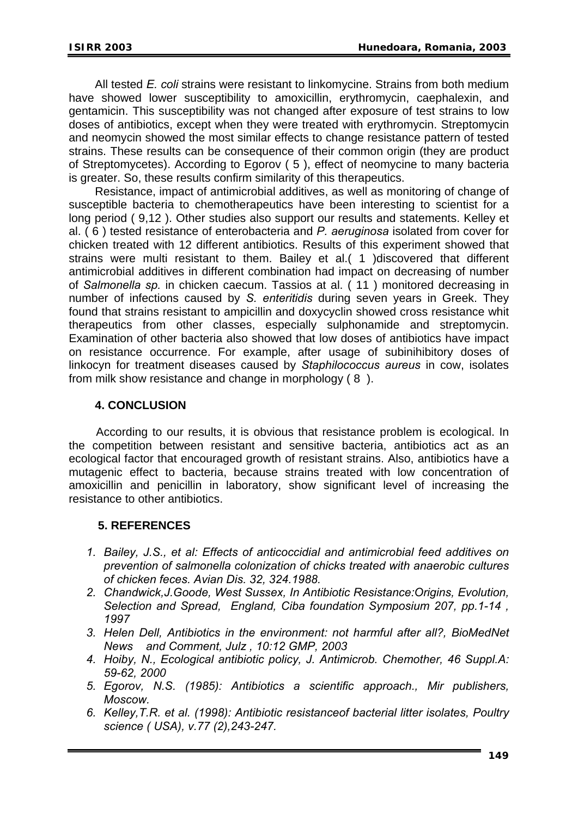All tested *E. coli* strains were resistant to linkomycine. Strains from both medium have showed lower susceptibility to amoxicillin, erythromycin, caephalexin, and gentamicin. This susceptibility was not changed after exposure of test strains to low doses of antibiotics, except when they were treated with erythromycin. Streptomycin and neomycin showed the most similar effects to change resistance pattern of tested strains. These results can be consequence of their common origin (they are product of Streptomycetes). According to Egorov ( 5 ), effect of neomycine to many bacteria is greater. So, these results confirm similarity of this therapeutics.

Resistance, impact of antimicrobial additives, as well as monitoring of change of susceptible bacteria to chemotherapeutics have been interesting to scientist for a long period ( 9,12 ). Other studies also support our results and statements. Kelley et al. ( 6 ) tested resistance of enterobacteria and *P. aeruginosa* isolated from cover for chicken treated with 12 different antibiotics. Results of this experiment showed that strains were multi resistant to them. Bailey et al.( 1 )discovered that different antimicrobial additives in different combination had impact on decreasing of number of *Salmonella sp.* in chicken caecum. Tassios at al. ( 11 ) monitored decreasing in number of infections caused by *S. enteritidis* during seven years in Greek. They found that strains resistant to ampicillin and doxycyclin showed cross resistance whit therapeutics from other classes, especially sulphonamide and streptomycin. Examination of other bacteria also showed that low doses of antibiotics have impact on resistance occurrence. For example, after usage of subinihibitory doses of linkocyn for treatment diseases caused by *Staphilococcus aureus* in cow, isolates from milk show resistance and change in morphology ( 8 ).

#### **4. CONCLUSION**

 According to our results, it is obvious that resistance problem is ecological. In the competition between resistant and sensitive bacteria, antibiotics act as an ecological factor that encouraged growth of resistant strains. Also, antibiotics have a mutagenic effect to bacteria, because strains treated with low concentration of amoxicillin and penicillin in laboratory, show significant level of increasing the resistance to other antibiotics.

### **5. REFERENCES**

- *1. Bailey, J.S., et al: Effects of anticoccidial and antimicrobial feed additives on prevention of salmonella colonization of chicks treated with anaerobic cultures of chicken feces. Avian Dis. 32, 324.1988.*
- *2. Chandwick,J.Goode, West Sussex, In Antibiotic Resistance:Origins, Evolution, Selection and Spread, England, Ciba foundation Symposium 207, pp.1-14 , 1997*
- *3. Helen Dell, Antibiotics in the environment: not harmful after all?, BioMedNet News and Comment, Julz , 10:12 GMP, 2003*
- *4. Hoiby, N., Ecological antibiotic policy, J. Antimicrob. Chemother, 46 Suppl.A: 59-62, 2000*
- *5. Egorov, N.S. (1985): Antibiotics a scientific approach., Mir publishers, Moscow.*
- *6. Kelley,T.R. et al. (1998): Antibiotic resistanceof bacterial litter isolates, Poultry science ( USA), v.77 (2),243-247.*